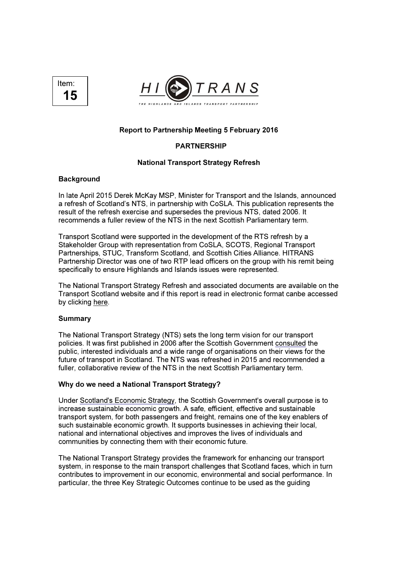



# Report to Partnership Meeting 5 February 2016

# PARTNERSHIP

## National Transport Strategy Refresh

### **Background**

In late April 2015 Derek McKay MSP, Minister for Transport and the Islands, announced a refresh of Scotland's NTS, in partnership with CoSLA. This publication represents the result of the refresh exercise and supersedes the previous NTS, dated 2006. It recommends a fuller review of the NTS in the next Scottish Parliamentary term.

Transport Scotland were supported in the development of the RTS refresh by a Stakeholder Group with representation from CoSLA, SCOTS, Regional Transport Partnerships, STUC, Transform Scotland, and Scottish Cities Alliance. HITRANS Partnership Director was one of two RTP lead officers on the group with his remit being specifically to ensure Highlands and Islands issues were represented.

The National Transport Strategy Refresh and associated documents are available on the Transport Scotland website and if this report is read in electronic format canbe accessed by clicking here.

#### Summary

The National Transport Strategy (NTS) sets the long term vision for our transport policies. It was first published in 2006 after the Scottish Government consulted the public, interested individuals and a wide range of organisations on their views for the future of transport in Scotland. The NTS was refreshed in 2015 and recommended a fuller, collaborative review of the NTS in the next Scottish Parliamentary term.

#### Why do we need a National Transport Strategy?

Under Scotland's Economic Strategy, the Scottish Government's overall purpose is to increase sustainable economic growth. A safe, efficient, effective and sustainable transport system, for both passengers and freight, remains one of the key enablers of such sustainable economic growth. It supports businesses in achieving their local, national and international objectives and improves the lives of individuals and communities by connecting them with their economic future.

The National Transport Strategy provides the framework for enhancing our transport system, in response to the main transport challenges that Scotland faces, which in turn contributes to improvement in our economic, environmental and social performance. In particular, the three Key Strategic Outcomes continue to be used as the guiding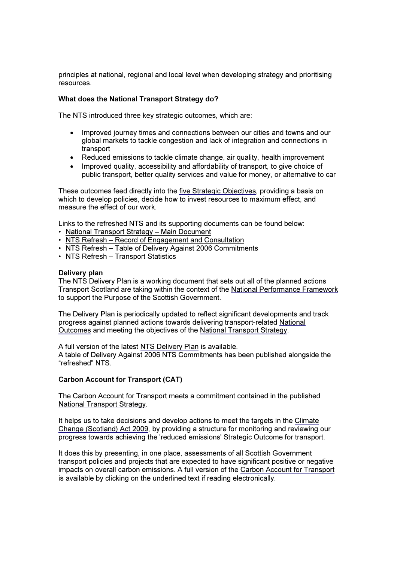principles at national, regional and local level when developing strategy and prioritising resources.

### What does the National Transport Strategy do?

The NTS introduced three key strategic outcomes, which are:

- Improved journey times and connections between our cities and towns and our global markets to tackle congestion and lack of integration and connections in transport
- Reduced emissions to tackle climate change, air quality, health improvement
- Improved quality, accessibility and affordability of transport, to give choice of public transport, better quality services and value for money, or alternative to car

These outcomes feed directly into the five Strategic Objectives, providing a basis on which to develop policies, decide how to invest resources to maximum effect, and measure the effect of our work.

Links to the refreshed NTS and its supporting documents can be found below:

- National Transport Strategy Main Document
- NTS Refresh Record of Engagement and Consultation
- NTS Refresh Table of Delivery Against 2006 Commitments
- NTS Refresh Transport Statistics

#### Delivery plan

The NTS Delivery Plan is a working document that sets out all of the planned actions Transport Scotland are taking within the context of the National Performance Framework to support the Purpose of the Scottish Government.

The Delivery Plan is periodically updated to reflect significant developments and track progress against planned actions towards delivering transport-related National Outcomes and meeting the objectives of the National Transport Strategy.

A full version of the latest NTS Delivery Plan is available. A table of Delivery Against 2006 NTS Commitments has been published alongside the "refreshed" NTS.

## Carbon Account for Transport (CAT)

The Carbon Account for Transport meets a commitment contained in the published National Transport Strategy.

It helps us to take decisions and develop actions to meet the targets in the Climate Change (Scotland) Act 2009, by providing a structure for monitoring and reviewing our progress towards achieving the 'reduced emissions' Strategic Outcome for transport.

It does this by presenting, in one place, assessments of all Scottish Government transport policies and projects that are expected to have significant positive or negative impacts on overall carbon emissions. A full version of the Carbon Account for Transport is available by clicking on the underlined text if reading electronically.